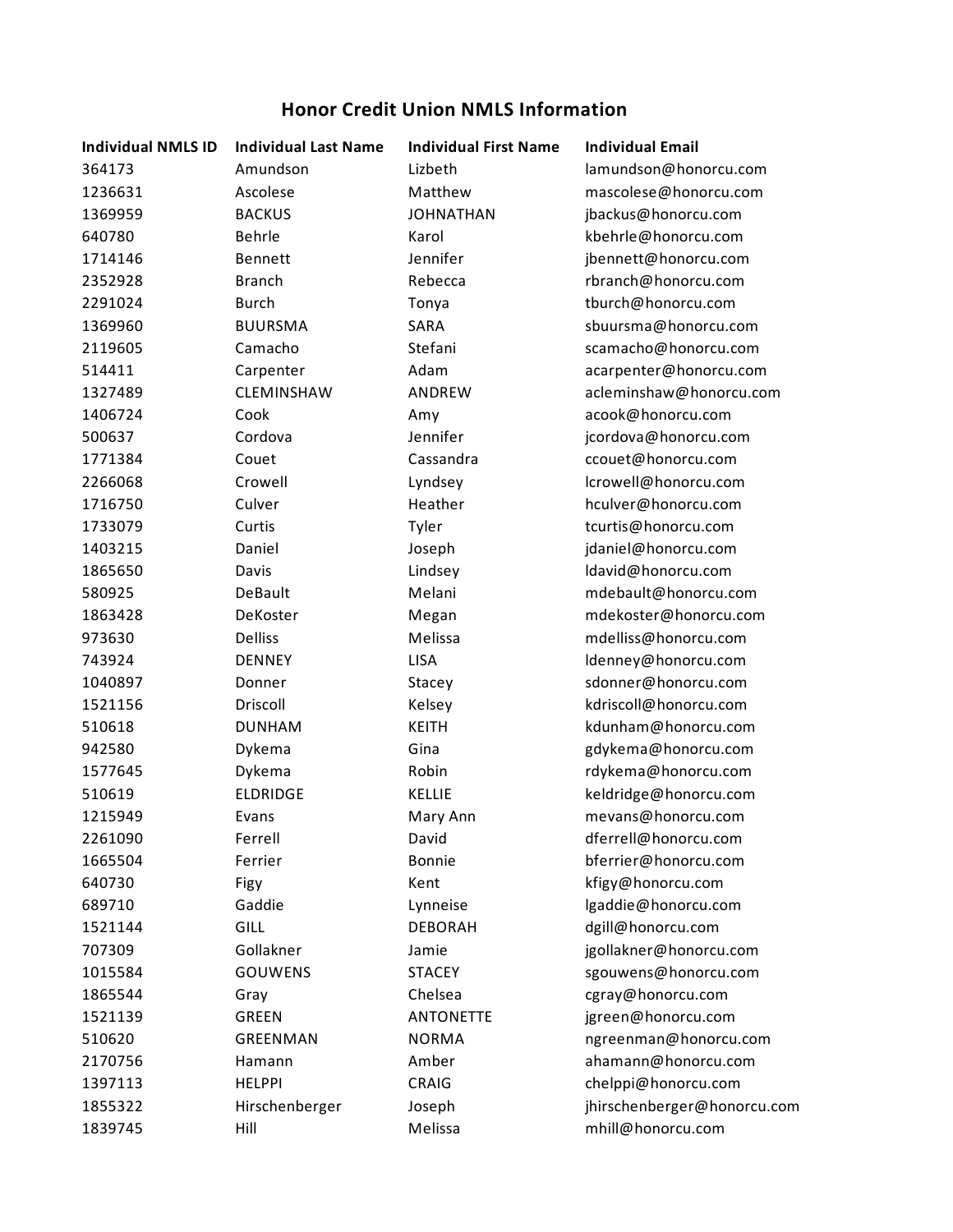## **Honor Credit Union NMLS Information**

| <b>Individual NMLS ID</b> | <b>Individual Last Name</b> | <b>Individual First Name</b> | <b>Individual Email</b>     |
|---------------------------|-----------------------------|------------------------------|-----------------------------|
| 364173                    | Amundson                    | Lizbeth                      | lamundson@honorcu.com       |
| 1236631                   | Ascolese                    | Matthew                      | mascolese@honorcu.com       |
| 1369959                   | <b>BACKUS</b>               | <b>JOHNATHAN</b>             | jbackus@honorcu.com         |
| 640780                    | Behrle                      | Karol                        | kbehrle@honorcu.com         |
| 1714146                   | Bennett                     | Jennifer                     | jbennett@honorcu.com        |
| 2352928                   | <b>Branch</b>               | Rebecca                      | rbranch@honorcu.com         |
| 2291024                   | <b>Burch</b>                | Tonya                        | tburch@honorcu.com          |
| 1369960                   | <b>BUURSMA</b>              | SARA                         | sbuursma@honorcu.com        |
| 2119605                   | Camacho                     | Stefani                      | scamacho@honorcu.com        |
| 514411                    | Carpenter                   | Adam                         | acarpenter@honorcu.com      |
| 1327489                   | CLEMINSHAW                  | ANDREW                       | acleminshaw@honorcu.com     |
| 1406724                   | Cook                        | Amy                          | acook@honorcu.com           |
| 500637                    | Cordova                     | Jennifer                     | jcordova@honorcu.com        |
| 1771384                   | Couet                       | Cassandra                    | ccouet@honorcu.com          |
| 2266068                   | Crowell                     | Lyndsey                      | lcrowell@honorcu.com        |
| 1716750                   | Culver                      | Heather                      | hculver@honorcu.com         |
| 1733079                   | Curtis                      | Tyler                        | tcurtis@honorcu.com         |
| 1403215                   | Daniel                      | Joseph                       | jdaniel@honorcu.com         |
| 1865650                   | Davis                       | Lindsey                      | ldavid@honorcu.com          |
| 580925                    | DeBault                     | Melani                       | mdebault@honorcu.com        |
| 1863428                   | DeKoster                    | Megan                        | mdekoster@honorcu.com       |
| 973630                    | <b>Delliss</b>              | Melissa                      | mdelliss@honorcu.com        |
| 743924                    | <b>DENNEY</b>               | LISA                         | ldenney@honorcu.com         |
| 1040897                   | Donner                      | Stacey                       | sdonner@honorcu.com         |
| 1521156                   | Driscoll                    | Kelsey                       | kdriscoll@honorcu.com       |
| 510618                    | <b>DUNHAM</b>               | <b>KEITH</b>                 | kdunham@honorcu.com         |
| 942580                    | Dykema                      | Gina                         | gdykema@honorcu.com         |
| 1577645                   | Dykema                      | Robin                        | rdykema@honorcu.com         |
| 510619                    | <b>ELDRIDGE</b>             | <b>KELLIE</b>                | keldridge@honorcu.com       |
| 1215949                   | Evans                       | Mary Ann                     | mevans@honorcu.com          |
| 2261090                   | Ferrell                     | David                        | dferrell@honorcu.com        |
| 1665504                   | Ferrier                     | Bonnie                       | bferrier@honorcu.com        |
| 640730                    | Figy                        | Kent                         | kfigy@honorcu.com           |
| 689710                    | Gaddie                      | Lynneise                     | lgaddie@honorcu.com         |
| 1521144                   | GILL                        | <b>DEBORAH</b>               | dgill@honorcu.com           |
| 707309                    | Gollakner                   | Jamie                        | jgollakner@honorcu.com      |
| 1015584                   | <b>GOUWENS</b>              | <b>STACEY</b>                | sgouwens@honorcu.com        |
| 1865544                   | Gray                        | Chelsea                      | cgray@honorcu.com           |
| 1521139                   | <b>GREEN</b>                | <b>ANTONETTE</b>             | jgreen@honorcu.com          |
| 510620                    | GREENMAN                    | <b>NORMA</b>                 | ngreenman@honorcu.com       |
| 2170756                   | Hamann                      | Amber                        | ahamann@honorcu.com         |
| 1397113                   | <b>HELPPI</b>               | CRAIG                        | chelppi@honorcu.com         |
| 1855322                   | Hirschenberger              | Joseph                       | jhirschenberger@honorcu.com |
| 1839745                   | Hill                        | Melissa                      | mhill@honorcu.com           |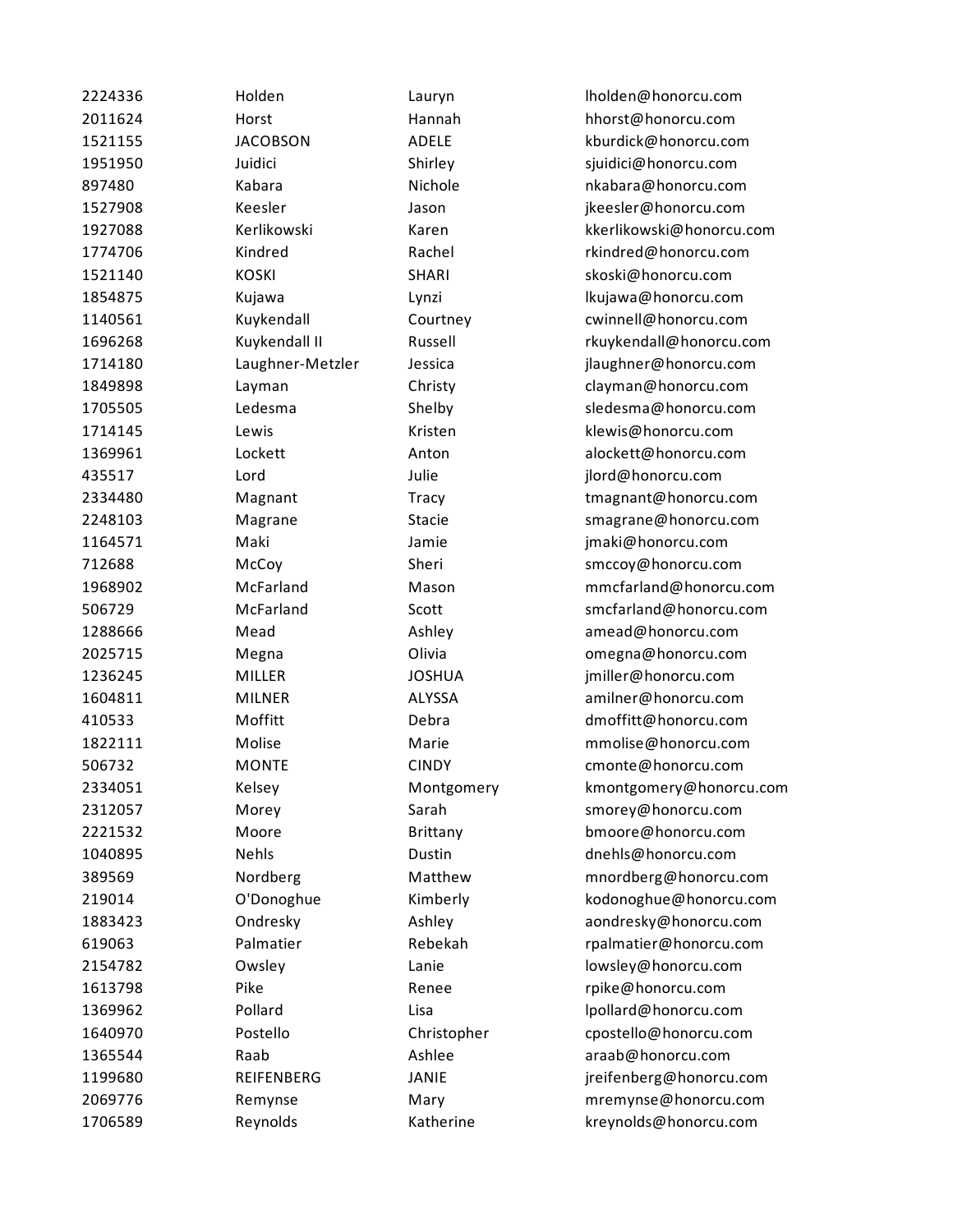| 2224336 | Holden           | Lauryn        | Iholden@honorcu.com      |
|---------|------------------|---------------|--------------------------|
| 2011624 | Horst            | Hannah        | hhorst@honorcu.com       |
| 1521155 | <b>JACOBSON</b>  | <b>ADELE</b>  | kburdick@honorcu.com     |
| 1951950 | Juidici          | Shirley       | sjuidici@honorcu.com     |
| 897480  | Kabara           | Nichole       | nkabara@honorcu.com      |
| 1527908 | Keesler          | Jason         | jkeesler@honorcu.com     |
| 1927088 | Kerlikowski      | Karen         | kkerlikowski@honorcu.com |
| 1774706 | Kindred          | Rachel        | rkindred@honorcu.com     |
| 1521140 | <b>KOSKI</b>     | <b>SHARI</b>  | skoski@honorcu.com       |
| 1854875 | Kujawa           | Lynzi         | lkujawa@honorcu.com      |
| 1140561 | Kuykendall       | Courtney      | cwinnell@honorcu.com     |
| 1696268 | Kuykendall II    | Russell       | rkuykendall@honorcu.com  |
| 1714180 | Laughner-Metzler | Jessica       | jlaughner@honorcu.com    |
| 1849898 | Layman           | Christy       | clayman@honorcu.com      |
| 1705505 | Ledesma          | Shelby        | sledesma@honorcu.com     |
| 1714145 | Lewis            | Kristen       | klewis@honorcu.com       |
| 1369961 | Lockett          | Anton         | alockett@honorcu.com     |
| 435517  | Lord             | Julie         | jlord@honorcu.com        |
| 2334480 | Magnant          | Tracy         | tmagnant@honorcu.com     |
| 2248103 | Magrane          | <b>Stacie</b> | smagrane@honorcu.com     |
| 1164571 | Maki             | Jamie         | jmaki@honorcu.com        |
| 712688  | McCoy            | Sheri         | smccoy@honorcu.com       |
| 1968902 | McFarland        | Mason         | mmcfarland@honorcu.com   |
| 506729  | McFarland        | Scott         | smcfarland@honorcu.com   |
| 1288666 | Mead             | Ashley        | amead@honorcu.com        |
| 2025715 | Megna            | Olivia        | omegna@honorcu.com       |
| 1236245 | MILLER           | <b>JOSHUA</b> | jmiller@honorcu.com      |
| 1604811 | <b>MILNER</b>    | ALYSSA        | amilner@honorcu.com      |
| 410533  | Moffitt          | Debra         | dmoffitt@honorcu.com     |
| 1822111 | Molise           | Marie         | mmolise@honorcu.com      |
| 506732  | <b>MONTE</b>     | <b>CINDY</b>  | cmonte@honorcu.com       |
| 2334051 | Kelsey           | Montgomery    | kmontgomery@honorcu.com  |
| 2312057 | Morey            | Sarah         | smorey@honorcu.com       |
| 2221532 | Moore            | Brittany      | bmoore@honorcu.com       |
| 1040895 | <b>Nehls</b>     | Dustin        | dnehls@honorcu.com       |
| 389569  | Nordberg         | Matthew       | mnordberg@honorcu.com    |
| 219014  | O'Donoghue       | Kimberly      | kodonoghue@honorcu.com   |
| 1883423 | Ondresky         | Ashley        | aondresky@honorcu.com    |
| 619063  | Palmatier        | Rebekah       | rpalmatier@honorcu.com   |
| 2154782 | Owsley           | Lanie         | lowsley@honorcu.com      |
| 1613798 | Pike             | Renee         | rpike@honorcu.com        |
| 1369962 | Pollard          | Lisa          | lpollard@honorcu.com     |
| 1640970 | Postello         | Christopher   | cpostello@honorcu.com    |
| 1365544 | Raab             | Ashlee        | araab@honorcu.com        |
| 1199680 | REIFENBERG       | <b>JANIE</b>  | jreifenberg@honorcu.com  |
| 2069776 | Remynse          | Mary          | mremynse@honorcu.com     |
| 1706589 | Reynolds         | Katherine     | kreynolds@honorcu.com    |